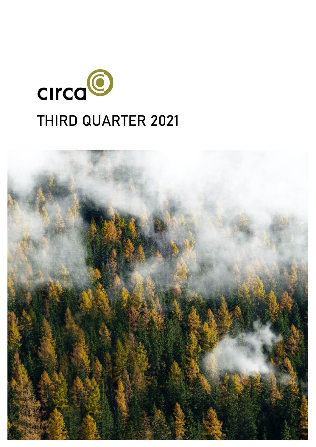

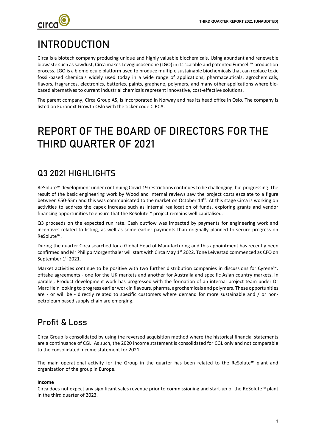

# INTRODUCTION

Circa is a biotech company producing unique and highly valuable biochemicals. Using abundant and renewable biowaste such as sawdust, Circa makes Levoglucosenone (LGO) in its scalable and patented Furacell™ production process. LGO is a biomolecule platform used to produce multiple sustainable biochemicals that can replace toxic fossil-based chemicals widely used today in a wide range of applications; pharmaceuticals, agrochemicals, flavors, fragrances, electronics, batteries, paints, graphene, polymers, and many other applications where biobased alternatives to current industrial chemicals represent innovative, cost-effective solutions.

The parent company, Circa Group AS, is incorporated in Norway and has its head office in Oslo. The company is listed on Euronext Growth Oslo with the ticker code CIRCA.

# REPORT OF THE BOARD OF DIRECTORS FOR THE THIRD QUARTER OF 2021

## Q3 2021 HIGHLIGHTS

ReSolute™ development under continuing Covid-19 restrictions continues to be challenging, but progressing. The result of the basic engineering work by Wood and internal reviews saw the project costs escalate to a figure between €50-55m and this was communicated to the market on October 14<sup>th</sup>. At this stage Circa is working on activities to address the capex increase such as internal reallocation of funds, exploring grants and vendor financing opportunities to ensure that the ReSolute™ project remains well capitalised.

Q3 proceeds on the expected run rate. Cash outflow was impacted by payments for engineering work and incentives related to listing, as well as some earlier payments than originally planned to secure progress on ReSolute™.

During the quarter Circa searched for a Global Head of Manufacturing and this appointment has recently been confirmed and Mr Philipp Morgenthaler will start with Circa May 1<sup>st</sup> 2022. Tone Leivestad commenced as CFO on September 1st 2021.

Market activities continue to be positive with two further distribution companies in discussions for Cyrene™. offtake agreements - one for the UK markets and another for Australia and specific Asian country markets. In parallel, Product development work has progressed with the formation of an internal project team under Dr Marc Hein looking to progress earlier work in flavours, pharma, agrochemicals and polymers. These opportunities are - or will be - directly related to specific customers where demand for more sustainable and / or nonpetroleum based supply chain are emerging.

# Profit & Loss

Circa Group is consolidated by using the reversed acquisition method where the historical financial statements are a continuance of CGL. As such, the 2020 income statement is consolidated for CGL only and not comparable to the consolidated income statement for 2021.

The main operational activity for the Group in the quarter has been related to the ReSolute™ plant and organization of the group in Europe.

### **Income**

Circa does not expect any significant sales revenue prior to commissioning and start-up of the ReSolute™ plant in the third quarter of 2023.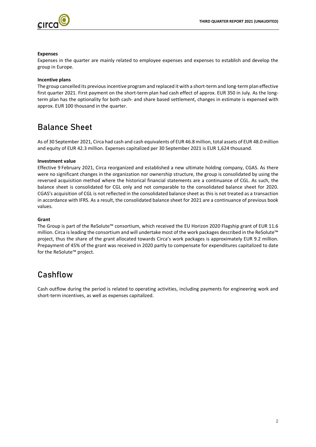

#### **Expenses**

Expenses in the quarter are mainly related to employee expenses and expenses to establish and develop the group in Europe.

#### **Incentive plans**

The group cancelled its previous incentive program and replaced it with a short-term and long-term plan effective first quarter 2021. First payment on the short-term plan had cash effect of approx. EUR 350 in July. As the longterm plan has the optionality for both cash- and share based settlement, changes in estimate is expensed with approx. EUR 100 thousand in the quarter.

## Balance Sheet

As of 30 September 2021, Circa had cash and cash equivalents of EUR 46.8 million, total assets of EUR 48.0 million and equity of EUR 42.3 million. Expenses capitalized per 30 September 2021 is EUR 1,624 thousand.

#### **Investment value**

Effective 9 February 2021, Circa reorganized and established a new ultimate holding company, CGAS. As there were no significant changes in the organization nor ownership structure, the group is consolidated by using the reversed acquisition method where the historical financial statements are a continuance of CGL. As such, the balance sheet is consolidated for CGL only and not comparable to the consolidated balance sheet for 2020. CGAS's acquisition of CGL is not reflected in the consolidated balance sheet as this is not treated as a transaction in accordance with IFRS. As a result, the consolidated balance sheet for 2021 are a continuance of previous book values.

### **Grant**

The Group is part of the ReSolute™ consortium, which received the EU Horizon 2020 Flagship grant of EUR 11.6 million. Circa is leading the consortium and will undertake most of the work packages described in the ReSolute™ project, thus the share of the grant allocated towards Circa's work packages is approximately EUR 9.2 million. Prepayment of 45% of the grant was received in 2020 partly to compensate for expenditures capitalized to date for the ReSolute™ project.

## Cashflow

Cash outflow during the period is related to operating activities, including payments for engineering work and short-term incentives, as well as expenses capitalized.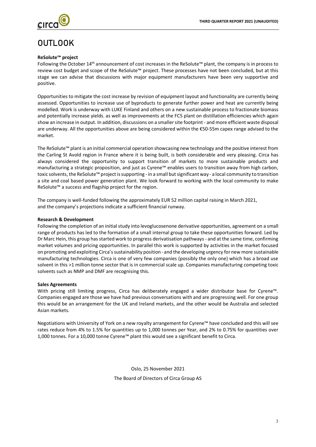

# OUTLOOK

### **ReSolute™ project**

Following the October 14th announcement of cost increases in the ReSolute™ plant, the company is in process to review cost budget and scope of the ReSolute™ project. These processes have not been concluded, but at this stage we can advise that discussions with major equipment manufacturers have been very supportive and positive.

Opportunities to mitigate the cost increase by revision of equipment layout and functionality are currently being assessed. Opportunities to increase use of byproducts to generate further power and heat are currently being modelled. Work is underway with LUKE Finland and others on a new sustainable process to fractionate biomass and potentially increase yields, as well as improvements at the FC5 plant on distillation efficiencies which again show an increase in output. In addition, discussions on a smaller site footprint - and more efficient waste disposal are underway. All the opportunities above are being considered within the €50-55m capex range advised to the market.

The ReSolute™ plant is an initial commercial operation showcasing new technology and the positive interest from the Carling St Avold region in France where it is being built, is both considerable and very pleasing. Circa has always considered the opportunity to support transition of markets to more sustainable products and manufacturing a strategic proposition, and just as Cyrene™ enables users to transition away from high carbon, toxic solvents, the ReSolute™ project is supporting - in a small but significant way - a local community to transition a site and coal based power generation plant. We look forward to working with the local community to make ReSolute™ a success and flagship project for the region.

The company is well-funded following the approximately EUR 52 million capital raising in March 2021, and the company's projections indicate a sufficient financial runway.

### **Research & Development**

Following the completion of an initial study into levoglucosenone derivative opportunities, agreement on a small range of products has led to the formation of a small internal group to take these opportunities forward. Led by Dr Marc Hein, this group has started work to progress derivatisation pathways - and at the same time, confirming market volumes and pricing opportunities. In parallel this work is supported by activities in the market focused on promoting and exploiting Circa's sustainability position - and the developing urgency for new more sustainable manufacturing technologies. Circa is one of very few companies (possibly the only one) which has a broad use solvent in this >1 million tonne sector that is in commercial scale up. Companies manufacturing competing toxic solvents such as NMP and DMF are recognising this.

### **Sales Agreements**

With pricing still limiting progress, Circa has deliberately engaged a wider distributor base for Cyrene™. Companies engaged are those we have had previous conversations with and are progressing well. For one group this would be an arrangement for the UK and Ireland markets, and the other would be Australia and selected Asian markets.

Negotiations with University of York on a new royalty arrangement for Cyrene™ have concluded and this will see rates reduce from 4% to 1.5% for quantities up to 1,000 tonnes per Year, and 2% to 0.75% for quantities over 1,000 tonnes. For a 10,000 tonne Cyrene™ plant this would see a significant benefit to Circa.

> Oslo, 25 November 2021 The Board of Directors of Circa Group AS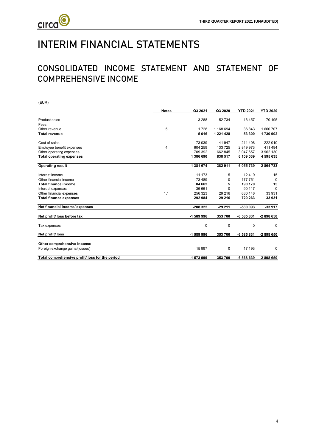

# INTERIM FINANCIAL STATEMENTS

# CONSOLIDATED INCOME STATEMENT AND STATEMENT OF COMPREHENSIVE INCOME

| (EUR)                                          |              |            |               |                 |                 |
|------------------------------------------------|--------------|------------|---------------|-----------------|-----------------|
|                                                | <b>Notes</b> | Q3 2021    | Q3 2020       | <b>YTD 2021</b> | <b>YTD 2020</b> |
| <b>Product sales</b>                           |              | 3 2 8 8    | 52734         | 16 457          | 70 195          |
| Fees                                           |              |            |               |                 |                 |
| Other revenue                                  | 5            | 1728       | 1 168 694     | 36 843          | 1660707         |
| <b>Total revenue</b>                           |              | 5016       | 1 2 2 1 4 2 8 | 53 300          | 1730 902        |
| Cost of sales                                  |              | 73 0 39    | 41 947        | 211 408         | 222 010         |
| Employee benefit expenses                      | 4            | 604 259    | 133725        | 2849973         | 411 494         |
| Other operating expenses                       |              | 709 392    | 662 845       | 3 047 657       | 3 962 130       |
| <b>Total operating expenses</b>                |              | 1386 690   | 838 517       | 6 109 039       | 4 595 635       |
| <b>Operating result</b>                        |              | -1 381 674 | 382 911       | -6 055 739      | -2 864 733      |
| Interest income                                |              | 11 173     | 5             | 12419           | 15              |
| Other financial income                         |              | 73 4 8 9   | 0             | 177 751         | 0               |
| <b>Total finance income</b>                    |              | 84 662     | 5             | 190 170         | 15              |
| Interest expenses                              |              | 36 661     | 0             | 90 117          | $\Omega$        |
| Other financial expenses                       | 1.1          | 256 323    | 29 216        | 630 146         | 33 931          |
| <b>Total finance expenses</b>                  |              | 292 984    | 29 216        | 720 263         | 33931           |
| Net financial income/ expenses                 |              | -208 322   | $-29211$      | -530 093        | $-33917$        |
| Net profit/ loss before tax                    |              | -1 589 996 | 353700        | -6 585 831      | -2 898 650      |
| Tax expenses                                   |              | 0          | 0             | 0               | 0               |
| Net profit/loss                                |              | -1 589 996 | 353700        | -6 585 831      | $-2898650$      |
| Other comprehensive income:                    |              |            |               |                 |                 |
| Foreign exchange gains/(losses)                |              | 15 997     | 0             | 17 193          | 0               |
|                                                |              |            |               |                 |                 |
| Total comprehensive profit/loss for the period |              | -1 573 999 | 353700        | -6 568 639      | $-2898650$      |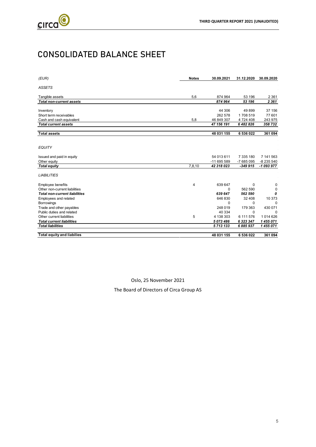

# CONSOLIDATED BALANCE SHEET

| (EUR)                                | <b>Notes</b> | 30.09.2021  | 31.12.2020 | 30.09.2020 |
|--------------------------------------|--------------|-------------|------------|------------|
| <b>ASSETS</b>                        |              |             |            |            |
| Tangible assets                      | 5,6          | 874 964     | 53 196     | 2 3 6 1    |
| <b>Total non-current assets</b>      |              | 874 964     | 53 196     | 2361       |
|                                      |              |             |            |            |
| Inventory                            |              | 44 30 6     | 49899      | 37 156     |
| Short term receivables               |              | 262 578     | 1708519    | 77 601     |
| Cash and cash equivalent             | 5,8          | 46 849 307  | 4724408    | 243 975    |
| <b>Total current assets</b>          |              | 47 156 191  | 6 482 826  | 358732     |
|                                      |              |             |            |            |
| <b>Total assets</b>                  |              | 48 031 155  | 6 536 022  | 361 094    |
|                                      |              |             |            |            |
| <b>EQUITY</b>                        |              |             |            |            |
| Issued and paid in equity            |              | 54 013 611  | 7 335 180  | 7 141 563  |
| Other equity                         |              | -11 695 589 | -7 685 095 | -8 235 540 |
| <b>Total equity</b>                  | 7,8,10       | 42 318 023  | $-349.915$ | -1 093 977 |
|                                      |              |             |            |            |
| <b>LIABILITIES</b>                   |              |             |            |            |
| <b>Employee benefits</b>             | 4            | 639 647     | $\Omega$   | 0          |
| Other non-current liabilities        |              | 0           | 562 590    | 0          |
| <b>Total non-current liabilities</b> |              | 639 647     | 562 590    | 0          |
| Employees and related                |              | 646 830     | 32 408     | 10 373     |
| <b>Borrowings</b>                    |              | 0           | $\Omega$   | $\Omega$   |
| Trade and other payables             |              | 248 019     | 179 363    | 430 071    |
| Public duties and related            |              | 40 334      | $\Omega$   | $\Omega$   |
| Other current liabilities            | 5            | 4 138 303   | 6 111 576  | 1014626    |
| <b>Total current liabilities</b>     |              | 5 073 486   | 6 323 347  | 1455071    |
| <b>Total liabilities</b>             |              | 5713133     | 6885937    | 1455071    |
|                                      |              |             |            |            |
| <b>Total equity and liabilies</b>    |              | 48 031 155  | 6 536 022  | 361 094    |

Oslo, 25 November 2021

The Board of Directors of Circa Group AS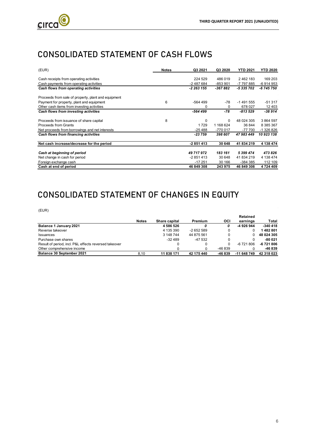

# CONSOLIDATED STATEMENT OF CASH FLOWS

| (EUR)                                               | <b>Notes</b> | Q3 2021    | Q3 2020   | <b>YTD 2021</b> | <b>YTD 2020</b> |
|-----------------------------------------------------|--------------|------------|-----------|-----------------|-----------------|
| Cash receipts from operating activities             |              | 224 529    | 486 019   | 2462183         | 169 203         |
| Cash payments from operating activities             |              | -2 487 684 | $-853901$ | -7 797 885      | -6 914 953      |
| Cash flows from operating activities                |              | -2 263 155 | -367 882  | -5 335 702      | -6745750        |
| Proceeds from sale of property, plant and equipment |              |            |           |                 |                 |
| Payment for property, plant and equipment           | 6            | $-564499$  | -78       | $-1491555$      | $-51317$        |
| Other cash items from investing activities          |              | 0          | 0         | 678 027         | 12 4 0 3        |
| Cash flows from investing activities                |              | -564 499   | -78       | -813 529        | -38 914         |
| Proceeds from issuance of share capital             | 8            | 0          | $\Omega$  | 48 024 305      | 3 864 597       |
| Proceeds from Grants                                |              | 1729       | 1 168 624 | 36 844          | 8 385 367       |
| Net proceeds from borrowings and net interests      |              | $-25488$   | -770 017  | -77 700         | -1 326 826      |
| Cash flows from financing activities                |              | $-23759$   | 398 607   | 47 983 449      | 10923138        |
| Net cash increase/decrease for the period           |              | -2 851 413 | 30 648    | 41 834 219      | 4 138 474       |
| Cash at beginning of period                         |              | 49 717 972 | 183 161   | 5399474         | 473826          |
| Net change in cash for period                       |              | $-2851413$ | 30 648    | 41 834 219      | 4 138 474       |
| Foreign exchange cash                               |              | $-17251$   | 30 166    | -384 385        | 112 109         |
| Cash at end of period                               |              | 46 849 308 | 243 975   | 46 849 308      | 4724409         |

# CONSOLIDATED STATEMENT OF CHANGES IN EQUITY

(EUR)

| <b>Notes</b> | Share capital | Premium    | OCI     | earnings    | Total      |
|--------------|---------------|------------|---------|-------------|------------|
|              | 4586526       | 0          |         | -4926944    | $-340418$  |
|              | 4 135 390     | $-2652589$ |         |             | 1482801    |
|              | 3 148 744     | 44 875 561 |         |             | 48 024 305 |
|              | $-32489$      | -47 532    |         |             | -80 021    |
|              |               |            |         | -6 721 806  | $-6721806$ |
|              |               |            | -46 839 |             | -46 839    |
| 8.10         | 11 838 171    | 42 175 440 | -46 839 | -11 648 749 | 42 318 023 |
|              |               |            |         |             | Retained   |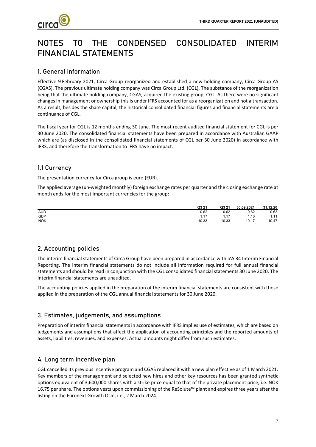

# NOTES TO THE CONDENSED CONSOLIDATED INTERIM FINANCIAL STATEMENTS

## 1. General information

Effective 9 February 2021, Circa Group reorganized and established a new holding company, Circa Group AS (CGAS). The previous ultimate holding company was Circa Group Ltd. (CGL). The substance of the reorganization being that the ultimate holding company, CGAS, acquired the existing group, CGL. As there were no significant changes in management or ownership this is under IFRS accounted for as a reorganization and not a transaction. As a result, besides the share capital, the historical consolidated financial figures and financial statements are a continuance of CGL.

The fiscal year for CGL is 12 months ending 30 June. The most recent audited financial statement for CGL is per 30 June 2020. The consolidated financial statements have been prepared in accordance with Australian GAAP which are (as disclosed in the consolidated financial statements of CGL per 30 June 2020) in accordance with IFRS, and therefore the transformation to IFRS have no impact.

### 1.1 Currency

The presentation currency for Circa group is euro (EUR).

The applied average (un-weighted monthly) foreign exchange rates per quarter and the closing exchange rate at month ends for the most important currencies for the group:

|            | Q3 21 | Q3 21 | 30.09.2021 | 31.12.20 |
|------------|-------|-------|------------|----------|
| <b>AUD</b> | 0.62  | 0.62  | 0.62       | 0.63     |
| GBP        | 1.17  | 1.17  | 1.16       | 1.11     |
| <b>NOK</b> | 10.33 | 10.33 | 10.17      | 10.47    |

## 2. Accounting policies

The interim financial statements of Circa Group have been prepared in accordance with IAS 34 Interim Financial Reporting. The interim financial statements do not include all information required for full annual financial statements and should be read in conjunction with the CGL consolidated financial statements 30 June 2020. The interim financial statements are unaudited.

The accounting policies applied in the preparation of the interim financial statements are consistent with those applied in the preparation of the CGL annual financial statements for 30 June 2020.

## 3. Estimates, judgements, and assumptions

Preparation of interim financial statements in accordance with IFRS implies use of estimates, which are based on judgements and assumptions that affect the application of accounting principles and the reported amounts of assets, liabilities, revenues, and expenses. Actual amounts might differ from such estimates.

### 4. Long term incentive plan

CGL cancelled its previous incentive program and CGAS replaced it with a new plan effective as of 1 March 2021. Key members of the management and selected new hires and other key resources has been granted synthetic options equivalent of 3,600,000 shares with a strike price equal to that of the private placement price, i.e. NOK 16.75 per share. The options vests upon commissioning of the ReSolute™ plant and expires three years after the listing on the Euronext Growth Oslo, i.e., 2 March 2024.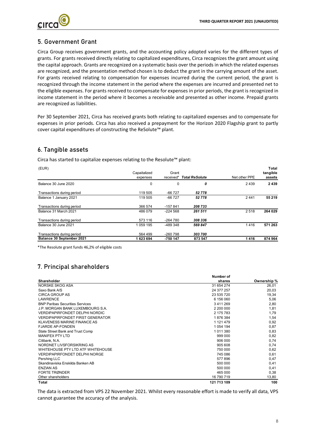

### 5. Government Grant

Circa Group receives government grants, and the accounting policy adopted varies for the different types of grants. For grants received directly relating to capitalized expenditures, Circa recognizes the grant amount using the capital approach. Grants are recognized on a systematic basis over the periods in which the related expenses are recognized, and the presentation method chosen is to deduct the grant in the carrying amount of the asset. For grants received relating to compensation for expenses incurred during the current period, the grant is recognized through the income statement in the period where the expenses are incurred and presented net to the eligible expenses. For grants received to compensate for expenses in prior periods, the grant is recognized in income statement in the period where it becomes a receivable and presented as other income. Prepaid grants are recognized as liabilities.

Per 30 September 2021, Circa has received grants both relating to capitalized expenses and to compensate for expenses in prior periods. Circa has also received a prepayment for the Horizon 2020 Flagship grant to partly cover capital expenditures of constructing the ReSolute™ plant.

### 6. Tangible assets

Circa has started to capitalize expenses relating to the Resolute™ plant:

| (EUR)                      |              |            |                       |               | Total    |
|----------------------------|--------------|------------|-----------------------|---------------|----------|
|                            | Capaitalized | Grant      |                       |               | tangible |
|                            | expenses     | received*  | <b>Total ReSolute</b> | Net other PPE | assets   |
| Balance 30 June 2020       | 0            | 0          | 0                     | 2439          | 2 4 3 9  |
| Transactions during period | 119 505      | $-66727$   | 52778                 |               |          |
| Balance 1 January 2021     | 119 505      | $-66727$   | 52778                 | 2441          | 55 219   |
| Transactions during period | 366 574      | $-157841$  | 208 733               |               |          |
| Balance 31 March 2021      | 486 079      | $-224568$  | 261 511               | 2518          | 264 029  |
| Transactions during period | 573 116      | $-264780$  | 308 336               |               |          |
| Balance 30 June 2021       | 1059 195     | $-489.348$ | 569847                | 1416          | 571 263  |
| Transactions during period | 564 499      | $-260798$  | 303 700               |               |          |
| Balance 30 September 2021  | 1623694      | -750 147   | 873 547               | 1416          | 874 964  |

\*The Resolute grant funds 46,2% of eligible costs

## 7. Principal shareholders

|                                         | Number of   |             |
|-----------------------------------------|-------------|-------------|
| Shareholder                             | shares      | Ownership % |
| NORSKE SKOG ASA                         | 31 654 274  | 26,01       |
| Saxo Bank A/S                           | 24 377 257  | 20,03       |
| <b>CIRCA GROUP AS</b>                   | 23 535 720  | 19,34       |
| <b>LAWRENCE</b>                         | 6 156 060   | 5,06        |
| <b>BNP Paribas Securities Services</b>  | 3411269     | 2,80        |
| J.P. MORGAN BANK LUXEMBOURG S.A.        | 2 200 000   | 1,81        |
| <b>VERDIPAPIRFONDET DELPHI NORDIC</b>   | 2 175 783   | 1,79        |
| <b>VERDIPAPIRFONDET FIRST GENERATOR</b> | 1876384     | 1,54        |
| KLAVENESS MARINE FINANCE AS             | 1 121 479   | 0,92        |
| <b>FJARDE AP-FONDEN</b>                 | 1 0 54 1 94 | 0,87        |
| State Street Bank and Trust Comp        | 1011380     | 0,83        |
| <b>MANIFEX PTY LTD</b>                  | 999 000     | 0,82        |
| Citibank, N.A.                          | 906 000     | 0,74        |
| NORDNET LIVSFORSIKRING AS               | 905 608     | 0,74        |
| WHITEHOUSE PTY LTD ATF WHITEHOUSE       | 750 000     | 0,62        |
| <b>VERDIPAPIRFONDET DELPHI NORGE</b>    | 745 086     | 0,61        |
| Pershing LLC                            | 577896      | 0,47        |
| Skandinaviska Enskilda Banken AB        | 500 000     | 0,41        |
| <b>ENZIAN AS</b>                        | 500 000     | 0,41        |
| <b>FORTE TRØNDER</b>                    | 465 000     | 0,38        |
| Other shareholders                      | 16 790 719  | 13,80       |
| Total                                   | 121 713 109 | 100         |

The data is extracted from VPS 22 November 2021. Whilst every reasonable effort is made to verify all data, VPS cannot guarantee the accuracy of the analysis.